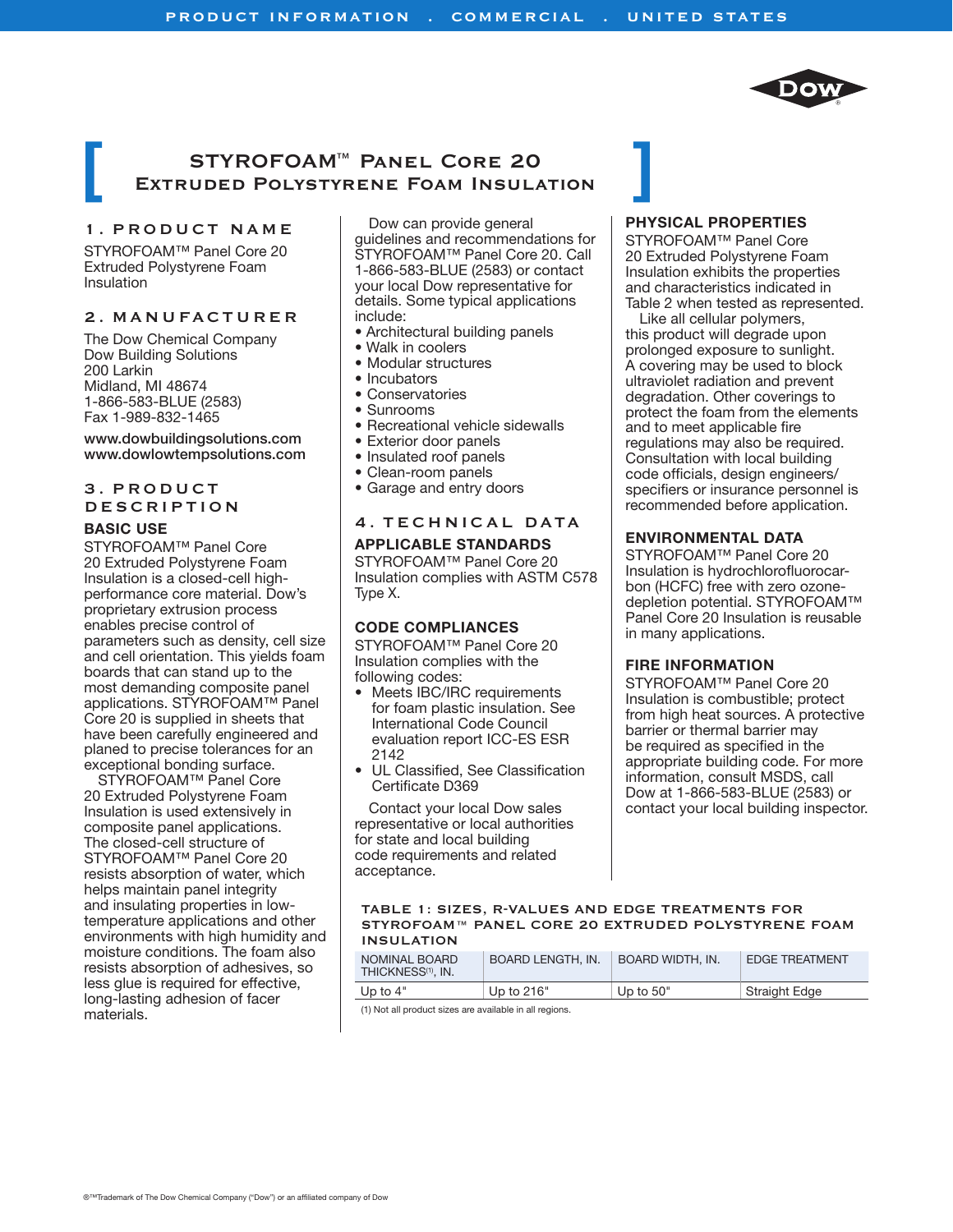

# **STYROFOAM™ Panel Core 20 Extruded Polystyrene Foam Insulation**

### **1. product name**

STYROFOAM™ Panel Core 20 Extruded Polystyrene Foam Insulation

## **2. manufacturer**

The Dow Chemical Company Dow Building Solutions 200 Larkin Midland, MI 48674 1-866-583-BLUE (2583) Fax 1-989-832-1465

#### www.dowbuildingsolutions.com www.dowlowtempsolutions.com

## **3. product description**

#### **BASIC USE**

STYROFOAM™ Panel Core 20 Extruded Polystyrene Foam Insulation is a closed-cell highperformance core material. Dow's proprietary extrusion process enables precise control of parameters such as density, cell size and cell orientation. This yields foam boards that can stand up to the most demanding composite panel applications. STYROFOAM™ Panel Core 20 is supplied in sheets that have been carefully engineered and planed to precise tolerances for an exceptional bonding surface.

STYROFOAM™ Panel Core 20 Extruded Polystyrene Foam Insulation is used extensively in composite panel applications. The closed-cell structure of STYROFOAM™ Panel Core 20 resists absorption of water, which helps maintain panel integrity and insulating properties in lowtemperature applications and other environments with high humidity and moisture conditions. The foam also resists absorption of adhesives, so less glue is required for effective, long-lasting adhesion of facer materials.

Dow can provide general guidelines and recommendations for STYROFOAM™ Panel Core 20. Call 1-866-583-BLUE (2583) or contact your local Dow representative for details. Some typical applications include:

- Architectural building panels
- Walk in coolers
- Modular structures
- Incubators
- Conservatories
- Sunrooms
- Recreational vehicle sidewalls
- Exterior door panels
- Insulated roof panels
- Clean-room panels
- Garage and entry doors

# **4. Technical Data**

#### **APPLICABLE STANDARDS**

STYROFOAM™ Panel Core 20 Insulation complies with ASTM C578 Type X.

#### **CODE COMPLIANCES**

STYROFOAM™ Panel Core 20 Insulation complies with the following codes:

- Meets IBC/IRC requirements for foam plastic insulation. See International Code Council evaluation report ICC-ES ESR 2142
- UL Classified, See Classification Certificate D369

Contact your local Dow sales representative or local authorities for state and local building code requirements and related acceptance.

#### **PHYSICAL PROPERTIES**

STYROFOAM™ Panel Core 20 Extruded Polystyrene Foam Insulation exhibits the properties and characteristics indicated in Table 2 when tested as represented.

Like all cellular polymers, this product will degrade upon prolonged exposure to sunlight. A covering may be used to block ultraviolet radiation and prevent degradation. Other coverings to protect the foam from the elements and to meet applicable fire regulations may also be required. Consultation with local building code officials, design engineers/ specifiers or insurance personnel is recommended before application.

#### **ENVIRONMENTAL DATA**

STYROFOAM™ Panel Core 20 Insulation is hydrochlorofluorocarbon (HCFC) free with zero ozonedepletion potential. STYROFOAM™ Panel Core 20 Insulation is reusable in many applications.

#### **FIRE informaTION**

STYROFOAM™ Panel Core 20 Insulation is combustible; protect from high heat sources. A protective barrier or thermal barrier may be required as specified in the appropriate building code. For more information, consult MSDS, call Dow at 1-866-583-BLUE (2583) or contact your local building inspector.

#### **Table 1: Sizes, R-values and edge treatments for STYROFOAM™ Panel Core 20 Extruded polystyrene Foam Insulation**

| NOMINAL BOARD<br>THICKNESS <sup>(1)</sup> , IN. | BOARD LENGTH. IN. | BOARD WIDTH, IN. | <b>EDGE TREATMENT</b> |
|-------------------------------------------------|-------------------|------------------|-----------------------|
| Up to $4"$                                      | Up to $216"$      | Up to $50"$      | Straight Edge         |

(1) Not all product sizes are available in all regions.